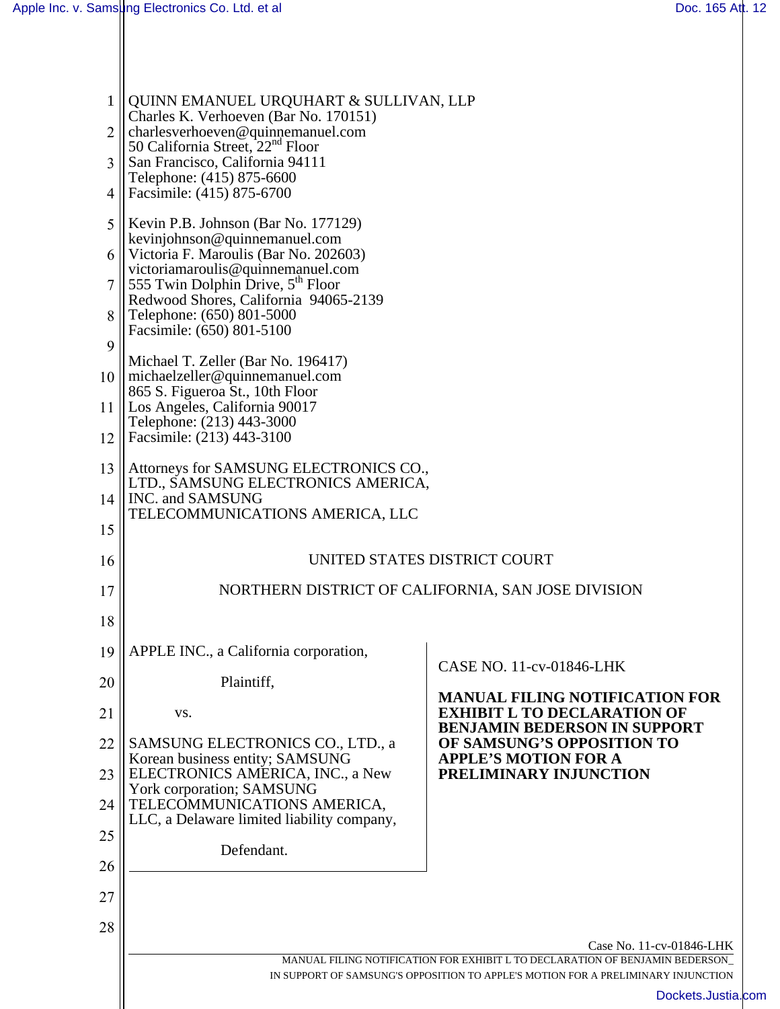| 1        | QUINN EMANUEL URQUHART & SULLIVAN, LLP<br>Charles K. Verhoeven (Bar No. 170151)                         |                                                                                                          |  |
|----------|---------------------------------------------------------------------------------------------------------|----------------------------------------------------------------------------------------------------------|--|
| 2        | charlesverhoeven@quinnemanuel.com<br>50 California Street, 22 <sup>nd</sup> Floor                       |                                                                                                          |  |
| 3        | San Francisco, California 94111<br>Telephone: (415) 875-6600                                            |                                                                                                          |  |
| 4        | Facsimile: (415) 875-6700                                                                               |                                                                                                          |  |
| 5        | Kevin P.B. Johnson (Bar No. 177129)<br>kevinjohnson@quinnemanuel.com                                    |                                                                                                          |  |
|          | 6    Victoria F. Maroulis (Bar No. 202603)<br>victoriamaroulis@quinnemanuel.com                         |                                                                                                          |  |
|          | $\parallel$ 555 Twin Dolphin Drive, 5 <sup>th</sup> Floor<br>Redwood Shores, California 94065-2139      |                                                                                                          |  |
| 8        | Telephone: (650) 801-5000<br>Facsimile: (650) 801-5100                                                  |                                                                                                          |  |
| 9        | Michael T. Zeller (Bar No. 196417)                                                                      |                                                                                                          |  |
| 10       | $\ $ michaelzeller@quinnemanuel.com<br>865 S. Figueroa St., 10th Floor                                  |                                                                                                          |  |
| 11       | Los Angeles, California 90017<br>Telephone: (213) 443-3000                                              |                                                                                                          |  |
| 12       | Facsimile: (213) 443-3100                                                                               |                                                                                                          |  |
| 13       | Attorneys for SAMSUNG ELECTRONICS CO.,<br>LTD., SAMSUNG ELECTRONICS AMERICA,                            |                                                                                                          |  |
| 14       | INC. and SAMSUNG<br>TELECOMMUNICATIONS AMERICA, LLC                                                     |                                                                                                          |  |
| 15       |                                                                                                         |                                                                                                          |  |
| 16       | UNITED STATES DISTRICT COURT                                                                            |                                                                                                          |  |
| 17       | NORTHERN DISTRICT OF CALIFORNIA, SAN JOSE DIVISION                                                      |                                                                                                          |  |
| 18       |                                                                                                         |                                                                                                          |  |
| 19       | APPLE INC., a California corporation,                                                                   | CASE NO. 11-cv-01846-LHK                                                                                 |  |
| 20       | Plaintiff,                                                                                              | <b>MANUAL FILING NOTIFICATION FOR</b>                                                                    |  |
| 21       | VS.                                                                                                     | <b>EXHIBIT L TO DECLARATION OF</b><br><b>BENJAMIN BEDERSON IN SUPPORT</b>                                |  |
| 22<br>23 | SAMSUNG ELECTRONICS CO., LTD., a<br>Korean business entity; SAMSUNG<br>ELECTRONICS AMERICA, INC., a New | OF SAMSUNG'S OPPOSITION TO<br><b>APPLE'S MOTION FOR A</b><br>PRELIMINARY INJUNCTION                      |  |
| 24       | York corporation; SAMSUNG<br>TELECOMMUNICATIONS AMERICA,                                                |                                                                                                          |  |
| 25       | LLC, a Delaware limited liability company,                                                              |                                                                                                          |  |
| 26       | Defendant.                                                                                              |                                                                                                          |  |
| 27       |                                                                                                         |                                                                                                          |  |
| 28       |                                                                                                         |                                                                                                          |  |
|          |                                                                                                         | Case No. 11-cv-01846-LHK<br>MANUAL FILING NOTIFICATION FOR EXHIBIT L TO DECLARATION OF BENJAMIN BEDERSON |  |
|          |                                                                                                         | IN SUPPORT OF SAMSUNG'S OPPOSITION TO APPLE'S MOTION FOR A PRELIMINARY INJUNCTION                        |  |
|          |                                                                                                         | Dockets.Justia.com                                                                                       |  |